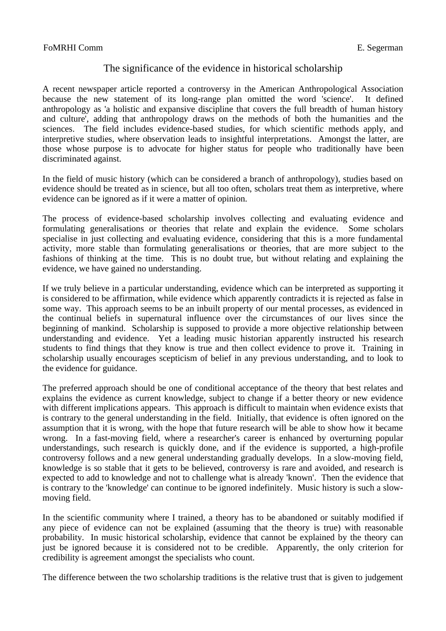## FoMRHI Comm E. Segerman

## The significance of the evidence in historical scholarship

A recent newspaper article reported a controversy in the American Anthropological Association because the new statement of its long-range plan omitted the word 'science'. It defined anthropology as 'a holistic and expansive discipline that covers the full breadth of human history and culture', adding that anthropology draws on the methods of both the humanities and the sciences. The field includes evidence-based studies, for which scientific methods apply, and interpretive studies, where observation leads to insightful interpretations. Amongst the latter, are those whose purpose is to advocate for higher status for people who traditionally have been discriminated against.

In the field of music history (which can be considered a branch of anthropology), studies based on evidence should be treated as in science, but all too often, scholars treat them as interpretive, where evidence can be ignored as if it were a matter of opinion.

The process of evidence-based scholarship involves collecting and evaluating evidence and formulating generalisations or theories that relate and explain the evidence. Some scholars specialise in just collecting and evaluating evidence, considering that this is a more fundamental activity, more stable than formulating generalisations or theories, that are more subject to the fashions of thinking at the time. This is no doubt true, but without relating and explaining the evidence, we have gained no understanding.

If we truly believe in a particular understanding, evidence which can be interpreted as supporting it is considered to be affirmation, while evidence which apparently contradicts it is rejected as false in some way. This approach seems to be an inbuilt property of our mental processes, as evidenced in the continual beliefs in supernatural influence over the circumstances of our lives since the beginning of mankind. Scholarship is supposed to provide a more objective relationship between understanding and evidence. Yet a leading music historian apparently instructed his research students to find things that they know is true and then collect evidence to prove it. Training in scholarship usually encourages scepticism of belief in any previous understanding, and to look to the evidence for guidance.

The preferred approach should be one of conditional acceptance of the theory that best relates and explains the evidence as current knowledge, subject to change if a better theory or new evidence with different implications appears. This approach is difficult to maintain when evidence exists that is contrary to the general understanding in the field. Initially, that evidence is often ignored on the assumption that it is wrong, with the hope that future research will be able to show how it became wrong. In a fast-moving field, where a researcher's career is enhanced by overturning popular understandings, such research is quickly done, and if the evidence is supported, a high-profile controversy follows and a new general understanding gradually develops. In a slow-moving field, knowledge is so stable that it gets to be believed, controversy is rare and avoided, and research is expected to add to knowledge and not to challenge what is already 'known'. Then the evidence that is contrary to the 'knowledge' can continue to be ignored indefinitely. Music history is such a slowmoving field.

In the scientific community where I trained, a theory has to be abandoned or suitably modified if any piece of evidence can not be explained (assuming that the theory is true) with reasonable probability. In music historical scholarship, evidence that cannot be explained by the theory can just be ignored because it is considered not to be credible. Apparently, the only criterion for credibility is agreement amongst the specialists who count.

The difference between the two scholarship traditions is the relative trust that is given to judgement